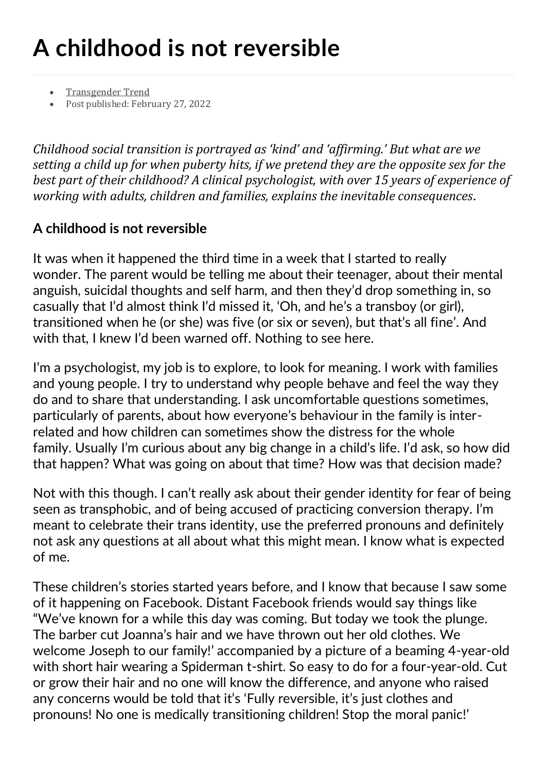## **A childhood is not reversible**

- [Transgender](https://www.transgendertrend.com/author/stephanieda/) Trend
- Post published: February 27, 2022

*Childhood social transition is portrayed as 'kind' and 'affirming.' But what are we setting a child up for when puberty hits, if we pretend they are the opposite sex for the best part of their childhood? A clinical psychologist, with over 15 years of experience of working with adults, children and families, explains the inevitable consequences*.

## **A childhood is not reversible**

It was when it happened the third time in a week that I started to really wonder. The parent would be telling me about their teenager, about their mental anguish, suicidal thoughts and self harm, and then they'd drop something in, so casually that I'd almost think I'd missed it, 'Oh, and he's a transboy (or girl), transitioned when he (or she) was five (or six or seven), but that's all fine'. And with that, I knew I'd been warned off. Nothing to see here.

I'm a psychologist, my job is to explore, to look for meaning. I work with families and young people. I try to understand why people behave and feel the way they do and to share that understanding. I ask uncomfortable questions sometimes, particularly of parents, about how everyone's behaviour in the family is interrelated and how children can sometimes show the distress for the whole family. Usually I'm curious about any big change in a child's life. I'd ask, so how did that happen? What was going on about that time? How was that decision made?

Not with this though. I can't really ask about their gender identity for fear of being seen as transphobic, and of being accused of practicing conversion therapy. I'm meant to celebrate their trans identity, use the preferred pronouns and definitely not ask any questions at all about what this might mean. I know what is expected of me.

These children's stories started years before, and I know that because I saw some of it happening on Facebook. Distant Facebook friends would say things like "We've known for a while this day was coming. But today we took the plunge. The barber cut Joanna's hair and we have thrown out her old clothes. We welcome Joseph to our family!' accompanied by a picture of a beaming 4-year-old with short hair wearing a Spiderman t-shirt. So easy to do for a four-year-old. Cut or grow their hair and no one will know the difference, and anyone who raised any concerns would be told that it's 'Fully reversible, it's just clothes and pronouns! No one is medically transitioning children! Stop the moral panic!'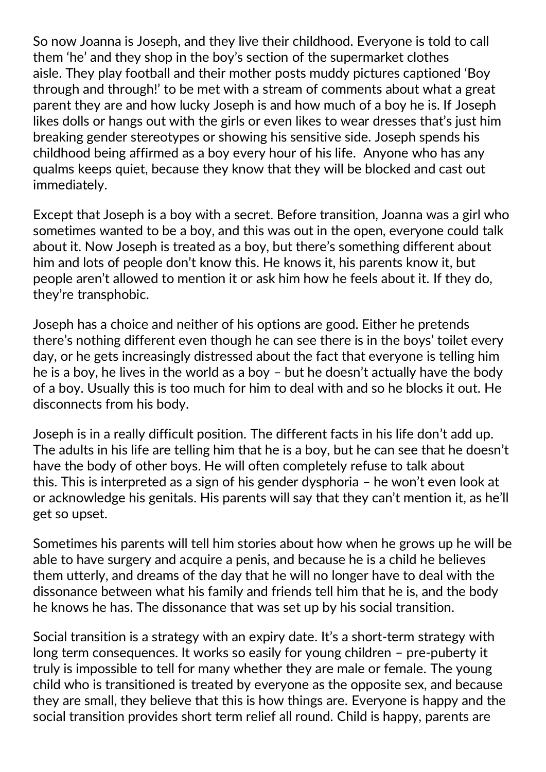So now Joanna is Joseph, and they live their childhood. Everyone is told to call them 'he' and they shop in the boy's section of the supermarket clothes aisle. They play football and their mother posts muddy pictures captioned 'Boy through and through!' to be met with a stream of comments about what a great parent they are and how lucky Joseph is and how much of a boy he is. If Joseph likes dolls or hangs out with the girls or even likes to wear dresses that's just him breaking gender stereotypes or showing his sensitive side. Joseph spends his childhood being affirmed as a boy every hour of his life. Anyone who has any qualms keeps quiet, because they know that they will be blocked and cast out immediately.

Except that Joseph is a boy with a secret. Before transition, Joanna was a girl who sometimes wanted to be a boy, and this was out in the open, everyone could talk about it. Now Joseph is treated as a boy, but there's something different about him and lots of people don't know this. He knows it, his parents know it, but people aren't allowed to mention it or ask him how he feels about it. If they do, they're transphobic.

Joseph has a choice and neither of his options are good. Either he pretends there's nothing different even though he can see there is in the boys' toilet every day, or he gets increasingly distressed about the fact that everyone is telling him he is a boy, he lives in the world as a boy – but he doesn't actually have the body of a boy. Usually this is too much for him to deal with and so he blocks it out. He disconnects from his body.

Joseph is in a really difficult position. The different facts in his life don't add up. The adults in his life are telling him that he is a boy, but he can see that he doesn't have the body of other boys. He will often completely refuse to talk about this. This is interpreted as a sign of his gender dysphoria – he won't even look at or acknowledge his genitals. His parents will say that they can't mention it, as he'll get so upset.

Sometimes his parents will tell him stories about how when he grows up he will be able to have surgery and acquire a penis, and because he is a child he believes them utterly, and dreams of the day that he will no longer have to deal with the dissonance between what his family and friends tell him that he is, and the body he knows he has. The dissonance that was set up by his social transition.

Social transition is a strategy with an expiry date. It's a short-term strategy with long term consequences. It works so easily for young children – pre-puberty it truly is impossible to tell for many whether they are male or female. The young child who is transitioned is treated by everyone as the opposite sex, and because they are small, they believe that this is how things are. Everyone is happy and the social transition provides short term relief all round. Child is happy, parents are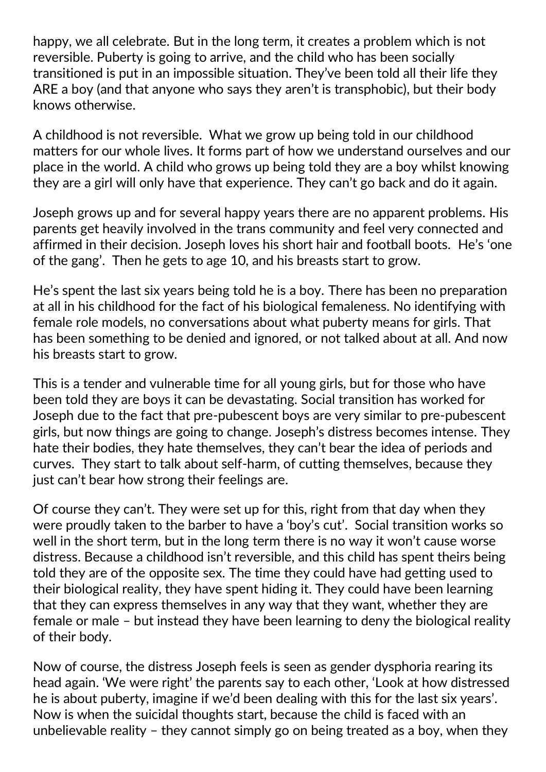happy, we all celebrate. But in the long term, it creates a problem which is not reversible. Puberty is going to arrive, and the child who has been socially transitioned is put in an impossible situation. They've been told all their life they ARE a boy (and that anyone who says they aren't is transphobic), but their body knows otherwise.

A childhood is not reversible. What we grow up being told in our childhood matters for our whole lives. It forms part of how we understand ourselves and our place in the world. A child who grows up being told they are a boy whilst knowing they are a girl will only have that experience. They can't go back and do it again.

Joseph grows up and for several happy years there are no apparent problems. His parents get heavily involved in the trans community and feel very connected and affirmed in their decision. Joseph loves his short hair and football boots. He's 'one of the gang'. Then he gets to age 10, and his breasts start to grow.

He's spent the last six years being told he is a boy. There has been no preparation at all in his childhood for the fact of his biological femaleness. No identifying with female role models, no conversations about what puberty means for girls. That has been something to be denied and ignored, or not talked about at all. And now his breasts start to grow.

This is a tender and vulnerable time for all young girls, but for those who have been told they are boys it can be devastating. Social transition has worked for Joseph due to the fact that pre-pubescent boys are very similar to pre-pubescent girls, but now things are going to change. Joseph's distress becomes intense. They hate their bodies, they hate themselves, they can't bear the idea of periods and curves. They start to talk about self-harm, of cutting themselves, because they just can't bear how strong their feelings are.

Of course they can't. They were set up for this, right from that day when they were proudly taken to the barber to have a 'boy's cut'. Social transition works so well in the short term, but in the long term there is no way it won't cause worse distress. Because a childhood isn't reversible, and this child has spent theirs being told they are of the opposite sex. The time they could have had getting used to their biological reality, they have spent hiding it. They could have been learning that they can express themselves in any way that they want, whether they are female or male – but instead they have been learning to deny the biological reality of their body.

Now of course, the distress Joseph feels is seen as gender dysphoria rearing its head again. 'We were right' the parents say to each other, 'Look at how distressed he is about puberty, imagine if we'd been dealing with this for the last six years'. Now is when the suicidal thoughts start, because the child is faced with an unbelievable reality – they cannot simply go on being treated as a boy, when they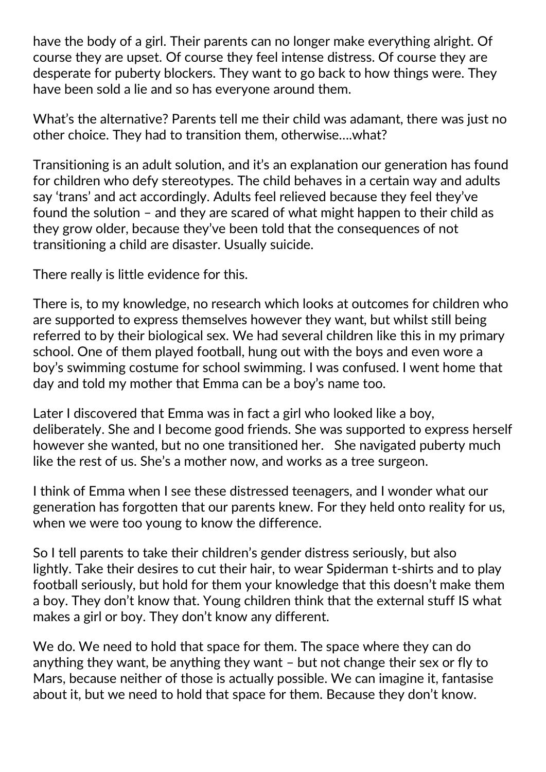have the body of a girl. Their parents can no longer make everything alright. Of course they are upset. Of course they feel intense distress. Of course they are desperate for puberty blockers. They want to go back to how things were. They have been sold a lie and so has everyone around them.

What's the alternative? Parents tell me their child was adamant, there was just no other choice. They had to transition them, otherwise….what?

Transitioning is an adult solution, and it's an explanation our generation has found for children who defy stereotypes. The child behaves in a certain way and adults say 'trans' and act accordingly. Adults feel relieved because they feel they've found the solution – and they are scared of what might happen to their child as they grow older, because they've been told that the consequences of not transitioning a child are disaster. Usually suicide.

There really is little evidence for this.

There is, to my knowledge, no research which looks at outcomes for children who are supported to express themselves however they want, but whilst still being referred to by their biological sex. We had several children like this in my primary school. One of them played football, hung out with the boys and even wore a boy's swimming costume for school swimming. I was confused. I went home that day and told my mother that Emma can be a boy's name too.

Later I discovered that Emma was in fact a girl who looked like a boy, deliberately. She and I become good friends. She was supported to express herself however she wanted, but no one transitioned her. She navigated puberty much like the rest of us. She's a mother now, and works as a tree surgeon.

I think of Emma when I see these distressed teenagers, and I wonder what our generation has forgotten that our parents knew. For they held onto reality for us, when we were too young to know the difference.

So I tell parents to take their children's gender distress seriously, but also lightly. Take their desires to cut their hair, to wear Spiderman t-shirts and to play football seriously, but hold for them your knowledge that this doesn't make them a boy. They don't know that. Young children think that the external stuff IS what makes a girl or boy. They don't know any different.

We do. We need to hold that space for them. The space where they can do anything they want, be anything they want – but not change their sex or fly to Mars, because neither of those is actually possible. We can imagine it, fantasise about it, but we need to hold that space for them. Because they don't know.